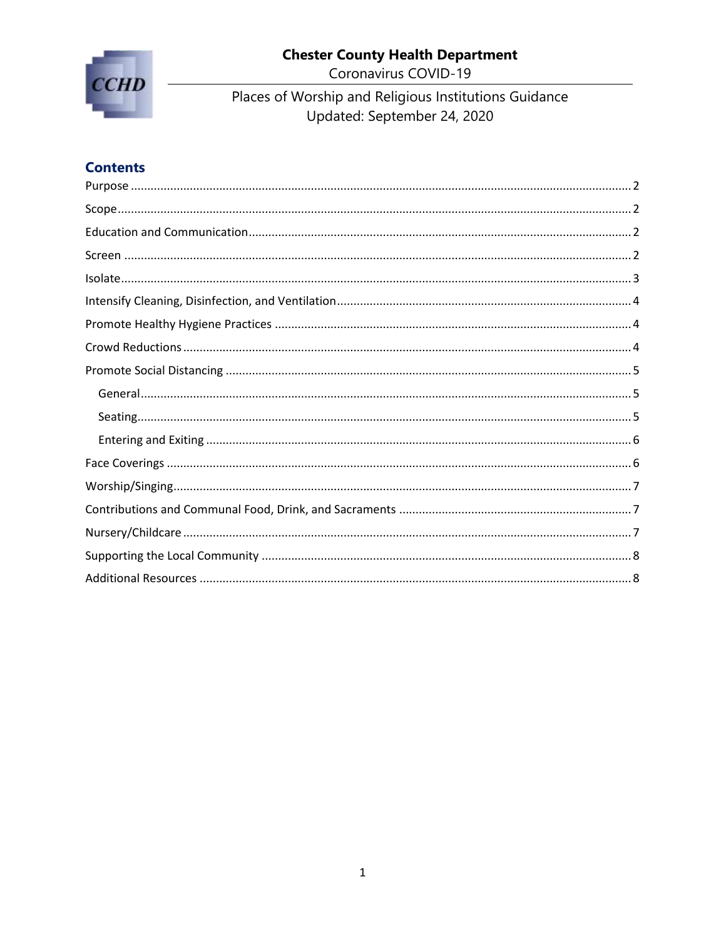



Coronavirus COVID-19

Places of Worship and Religious Institutions Guidance<br>Updated: September 24, 2020

# **Contents**

<span id="page-0-0"></span>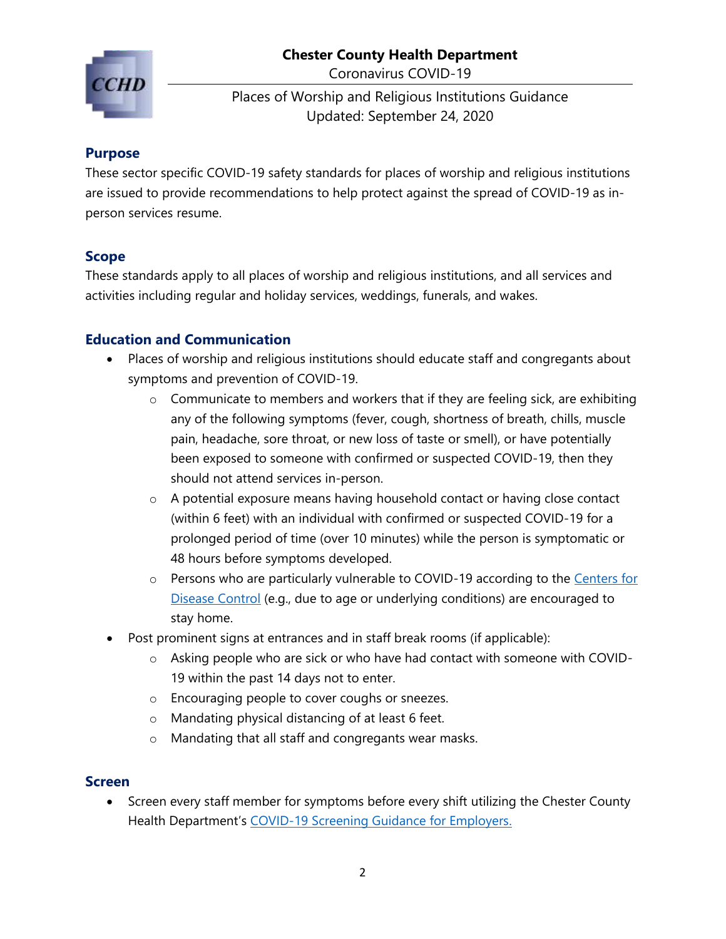Coronavirus COVID-19



Places of Worship and Religious Institutions Guidance Updated: September 24, 2020

#### **Purpose**

These sector specific COVID-19 safety standards for places of worship and religious institutions are issued to provide recommendations to help protect against the spread of COVID-19 as inperson services resume.

#### <span id="page-1-0"></span>**Scope**

These standards apply to all places of worship and religious institutions, and all services and activities including regular and holiday services, weddings, funerals, and wakes.

## <span id="page-1-1"></span>**Education and Communication**

- Places of worship and religious institutions should educate staff and congregants about symptoms and prevention of COVID-19.
	- o Communicate to members and workers that if they are feeling sick, are exhibiting any of the following symptoms (fever, cough, shortness of breath, chills, muscle pain, headache, sore throat, or new loss of taste or smell), or have potentially been exposed to someone with confirmed or suspected COVID-19, then they should not attend services in-person.
	- o A potential exposure means having household contact or having close contact (within 6 feet) with an individual with confirmed or suspected COVID-19 for a prolonged period of time (over 10 minutes) while the person is symptomatic or 48 hours before symptoms developed.
	- o Persons who are particularly vulnerable to COVID-19 according to the Centers for [Disease Control](https://www.cdc.gov/coronavirus/2019-ncov/need-extra-precautions/people-at-increased-risk.html) (e.g., due to age or underlying conditions) are encouraged to stay home.
- Post prominent signs at entrances and in staff break rooms (if applicable):
	- o Asking people who are sick or who have had contact with someone with COVID-19 within the past 14 days not to enter.
	- o Encouraging people to cover coughs or sneezes.
	- o Mandating physical distancing of at least 6 feet.
	- o Mandating that all staff and congregants wear masks.

#### <span id="page-1-2"></span>**Screen**

• Screen every staff member for symptoms before every shift utilizing the Chester County Health Department's [COVID-19 Screening Guidance for Employers.](https://www.chesco.org/DocumentCenter/View/54059/COVID-19-Screening-Guide_NonCCHD?bidId=)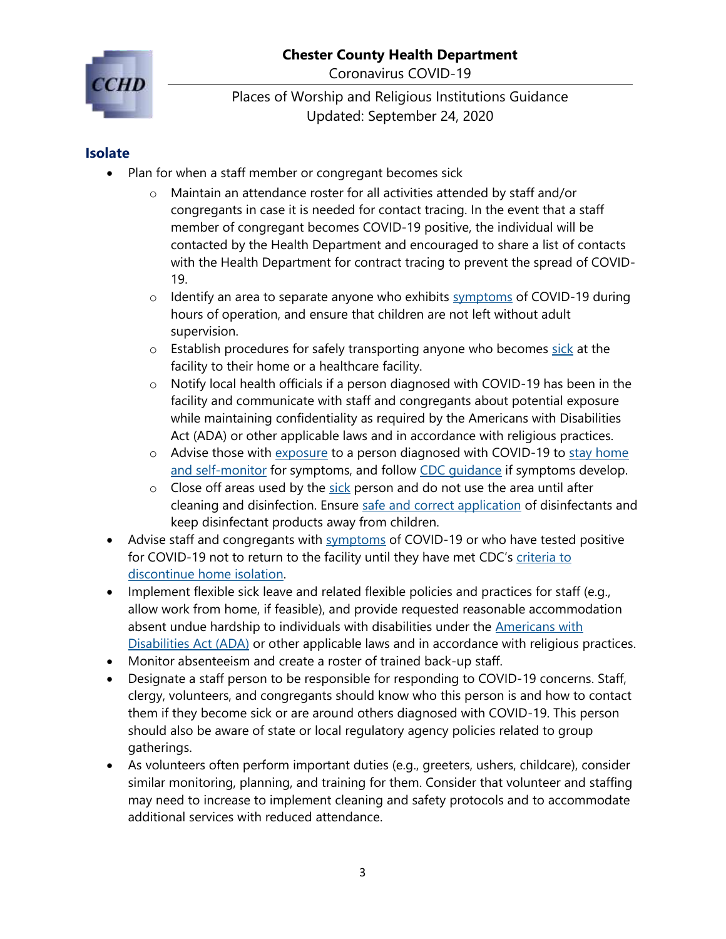Coronavirus COVID-19



Places of Worship and Religious Institutions Guidance Updated: September 24, 2020

#### <span id="page-2-0"></span>**Isolate**

- Plan for when a staff member or congregant becomes sick
	- o Maintain an attendance roster for all activities attended by staff and/or congregants in case it is needed for contact tracing. In the event that a staff member of congregant becomes COVID-19 positive, the individual will be contacted by the Health Department and encouraged to share a list of contacts with the Health Department for contract tracing to prevent the spread of COVID-19.
	- $\circ$  Identify an area to separate anyone who exhibits [symptoms](https://www.cdc.gov/coronavirus/2019-ncov/symptoms-testing/symptoms.html) of COVID-19 during hours of operation, and ensure that children are not left without adult supervision.
	- o Establish procedures for safely transporting anyone who becomes [sick](https://www.cdc.gov/coronavirus/2019-ncov/symptoms-testing/symptoms.html) at the facility to their home or a healthcare facility.
	- $\circ$  Notify local health officials if a person diagnosed with COVID-19 has been in the facility and communicate with staff and congregants about potential exposure while maintaining confidentiality as required by the Americans with Disabilities Act (ADA) or other applicable laws and in accordance with religious practices.
	- $\circ$  Advise those with [exposure](https://www.cdc.gov/coronavirus/2019-ncov/php/public-health-recommendations.html) to a person diagnosed with COVID-19 to stay home [and self-monitor](https://www.cdc.gov/coronavirus/2019-ncov/if-you-are-sick/quarantine.html) for symptoms, and follow [CDC guidance](https://www.cdc.gov/coronavirus/2019-ncov/if-you-are-sick/steps-when-sick.html) if symptoms develop.
	- $\circ$  Close off areas used by the [sick](https://www.cdc.gov/coronavirus/2019-ncov/symptoms-testing/symptoms.html) person and do not use the area until after cleaning and disinfection. Ensure [safe and correct application](https://www.cdc.gov/coronavirus/2019-ncov/community/disinfecting-building-facility.html) of disinfectants and keep disinfectant products away from children.
- Advise staff and congregants with [symptoms](https://www.cdc.gov/coronavirus/2019-ncov/symptoms-testing/symptoms.html) of COVID-19 or who have tested positive for COVID-19 not to return to the facility until they have met CDC's [criteria to](https://www.cdc.gov/coronavirus/2019-ncov/if-you-are-sick/steps-when-sick.html)  [discontinue home isolation.](https://www.cdc.gov/coronavirus/2019-ncov/if-you-are-sick/steps-when-sick.html)
- Implement flexible sick leave and related flexible policies and practices for staff (e.g., allow work from home, if feasible), and provide requested reasonable accommodation absent undue hardship to individuals with disabilities under the [Americans](https://www.eeoc.gov/facts/pandemic_flu.html) with [Disabilities](https://www.eeoc.gov/facts/pandemic_flu.html) Act (ADA) or other applicable laws and in accordance with religious practices.
- Monitor absenteeism and create a roster of trained back-up staff.
- Designate a staff person to be responsible for responding to COVID-19 concerns. Staff, clergy, volunteers, and congregants should know who this person is and how to contact them if they become sick or are around others diagnosed with COVID-19. This person should also be aware of state or local regulatory agency policies related to group gatherings.
- As volunteers often perform important duties (e.g., greeters, ushers, childcare), consider similar monitoring, planning, and training for them. Consider that volunteer and staffing may need to increase to implement cleaning and safety protocols and to accommodate additional services with reduced attendance.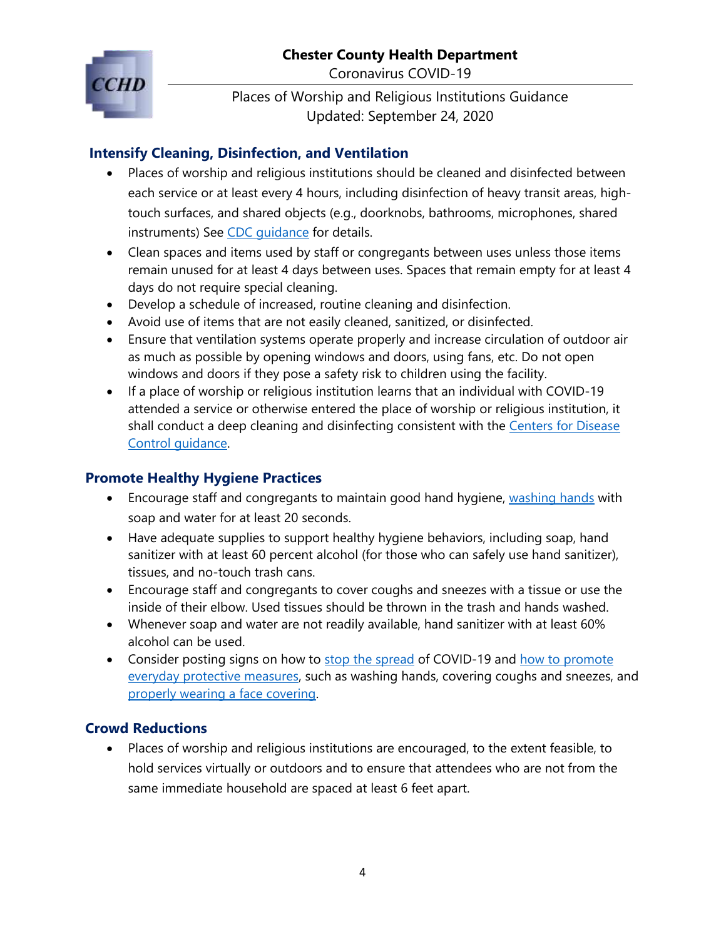Coronavirus COVID-19



Places of Worship and Religious Institutions Guidance Updated: September 24, 2020

## <span id="page-3-0"></span>**Intensify Cleaning, Disinfection, and Ventilation**

- Places of worship and religious institutions should be cleaned and disinfected between each service or at least every 4 hours, including disinfection of heavy transit areas, hightouch surfaces, and shared objects (e.g., doorknobs, bathrooms, microphones, shared instruments) See [CDC guidance](https://www.cdc.gov/coronavirus/2019-ncov/community/disinfecting-building-facility.html) for details.
- Clean spaces and items used by staff or congregants between uses unless those items remain unused for at least 4 days between uses. Spaces that remain empty for at least 4 days do not require special cleaning.
- Develop a schedule of increased, routine cleaning and disinfection.
- Avoid use of items that are not easily cleaned, sanitized, or disinfected.
- Ensure that ventilation systems operate properly and increase circulation of outdoor air as much as possible by opening windows and doors, using fans, etc. Do not open windows and doors if they pose a safety risk to children using the facility.
- If a place of worship or religious institution learns that an individual with COVID-19 attended a service or otherwise entered the place of worship or religious institution, it shall conduct a deep cleaning and disinfecting consistent with the Centers for Disease [Control guidance.](https://www.cdc.gov/coronavirus/2019-ncov/community/disinfecting-building-facility.html)

# <span id="page-3-1"></span>**Promote Healthy Hygiene Practices**

- Encourage staff and congregants to maintain good hand hygiene, [washing hands](https://www.cdc.gov/handwashing/when-how-handwashing.html) with soap and water for at least 20 seconds.
- Have adequate supplies to support healthy hygiene behaviors, including soap, hand sanitizer with at least 60 percent alcohol (for those who can safely use hand sanitizer), tissues, and no-touch trash cans.
- Encourage staff and congregants to cover coughs and sneezes with a tissue or use the inside of their elbow. Used tissues should be thrown in the trash and hands washed.
- Whenever soap and water are not readily available, hand sanitizer with at least 60% alcohol can be used.
- Consider posting signs on how to [stop the spread](https://www.cdc.gov/coronavirus/2019-ncov/downloads/stop-the-spread-of-germs-11x17-en.pdf) of COVID-19 and how to promote [everyday protective measures,](https://www.cdc.gov/coronavirus/2019-ncov/prevent-getting-sick/prevention-H.pdf) such as washing hands, covering coughs and sneezes, and [properly wearing a face covering.](https://www.chesco.org/ImageRepository/Document?documentID=54492)

# <span id="page-3-2"></span>**Crowd Reductions**

• Places of worship and religious institutions are encouraged, to the extent feasible, to hold services virtually or outdoors and to ensure that attendees who are not from the same immediate household are spaced at least 6 feet apart.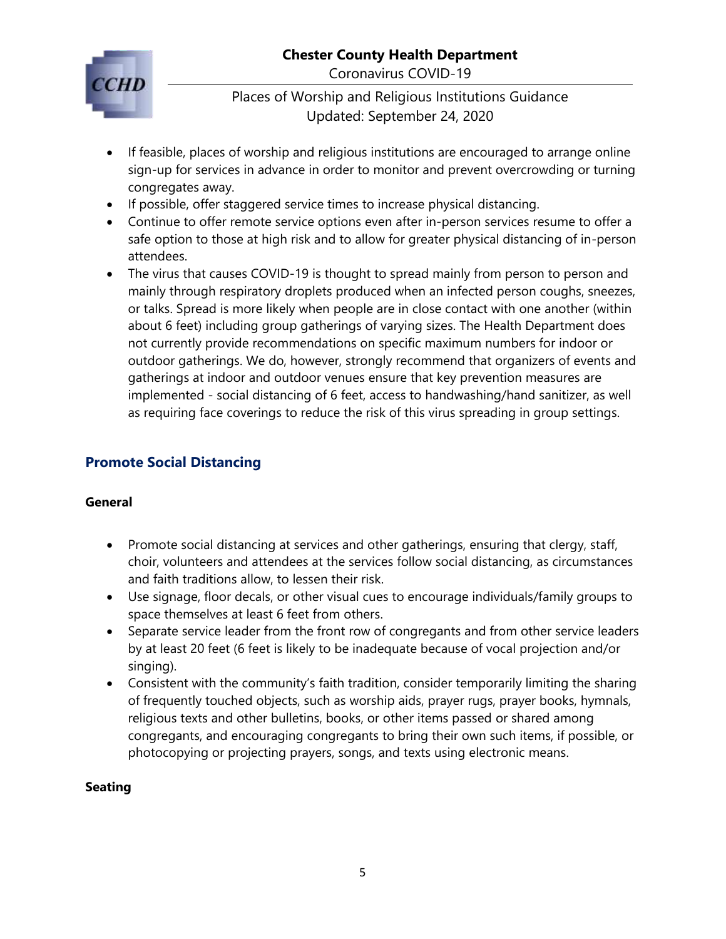#### **Chester County Health Department** Coronavirus COVID-19

Places of Worship and Religious Institutions Guidance Updated: September 24, 2020

- If feasible, places of worship and religious institutions are encouraged to arrange online sign-up for services in advance in order to monitor and prevent overcrowding or turning congregates away.
- If possible, offer staggered service times to increase physical distancing.
- Continue to offer remote service options even after in-person services resume to offer a safe option to those at high risk and to allow for greater physical distancing of in-person attendees.
- The virus that causes COVID-19 is thought to spread mainly from person to person and mainly through respiratory droplets produced when an infected person coughs, sneezes, or talks. Spread is more likely when people are in close contact with one another (within about 6 feet) including group gatherings of varying sizes. The Health Department does not currently provide recommendations on specific maximum numbers for indoor or outdoor gatherings. We do, however, strongly recommend that organizers of events and gatherings at indoor and outdoor venues ensure that key prevention measures are implemented - social distancing of 6 feet, access to handwashing/hand sanitizer, as well as requiring face coverings to reduce the risk of this virus spreading in group settings.

# <span id="page-4-0"></span>**Promote Social Distancing**

#### <span id="page-4-1"></span>**General**

- Promote social distancing at services and other gatherings, ensuring that clergy, staff, choir, volunteers and attendees at the services follow social distancing, as circumstances and faith traditions allow, to lessen their risk.
- Use signage, floor decals, or other visual cues to encourage individuals/family groups to space themselves at least 6 feet from others.
- Separate service leader from the front row of congregants and from other service leaders by at least 20 feet (6 feet is likely to be inadequate because of vocal projection and/or singing).
- Consistent with the community's faith tradition, consider temporarily limiting the sharing of frequently touched objects, such as worship aids, prayer rugs, prayer books, hymnals, religious texts and other bulletins, books, or other items passed or shared among congregants, and encouraging congregants to bring their own such items, if possible, or photocopying or projecting prayers, songs, and texts using electronic means.

#### <span id="page-4-2"></span>**Seating**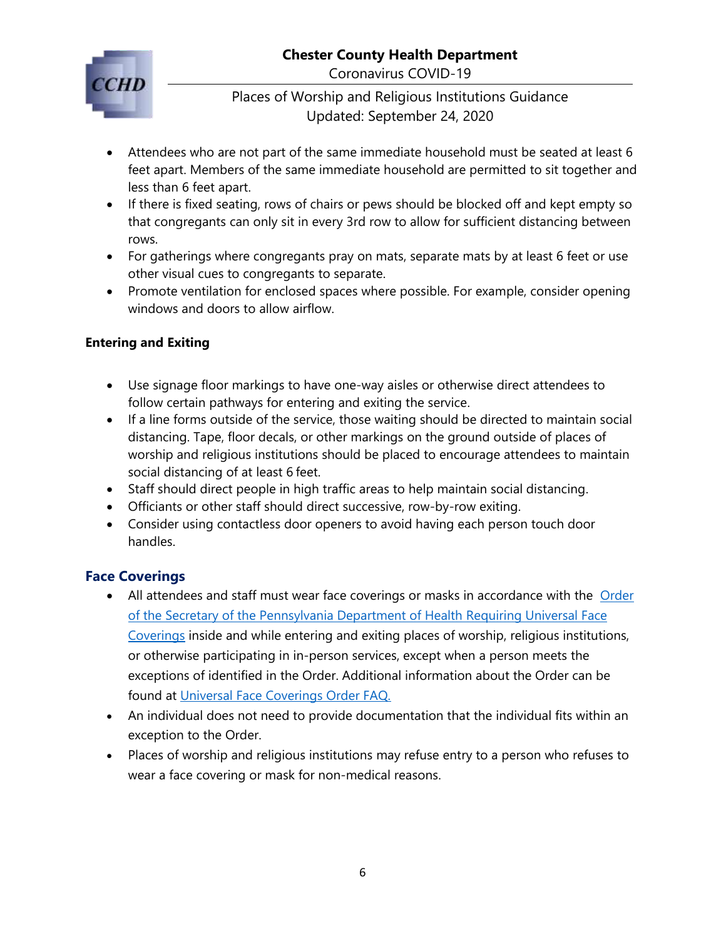Coronavirus COVID-19

## Places of Worship and Religious Institutions Guidance Updated: September 24, 2020

- Attendees who are not part of the same immediate household must be seated at least 6 feet apart. Members of the same immediate household are permitted to sit together and less than 6 feet apart.
- If there is fixed seating, rows of chairs or pews should be blocked off and kept empty so that congregants can only sit in every 3rd row to allow for sufficient distancing between rows.
- For gatherings where congregants pray on mats, separate mats by at least 6 feet or use other visual cues to congregants to separate.
- Promote ventilation for enclosed spaces where possible. For example, consider opening windows and doors to allow airflow.

## <span id="page-5-0"></span>**Entering and Exiting**

- Use signage floor markings to have one-way aisles or otherwise direct attendees to follow certain pathways for entering and exiting the service.
- If a line forms outside of the service, those waiting should be directed to maintain social distancing. Tape, floor decals, or other markings on the ground outside of places of worship and religious institutions should be placed to encourage attendees to maintain social distancing of at least 6 feet.
- Staff should direct people in high traffic areas to help maintain social distancing.
- Officiants or other staff should direct successive, row-by-row exiting.
- Consider using contactless door openers to avoid having each person touch door handles.

# <span id="page-5-1"></span>**Face Coverings**

- All attendees and staff must wear face coverings or masks in accordance with the Order [of the Secretary of the Pennsylvania Department of Health](https://www.governor.pa.gov/wp-content/uploads/2020/07/20200701-SOH-Universal-Face-Coverings-Order.pdf) Requiring Universal Face [Coverings](https://www.governor.pa.gov/wp-content/uploads/2020/07/20200701-SOH-Universal-Face-Coverings-Order.pdf) inside and while entering and exiting places of worship, religious institutions, or otherwise participating in in-person services, except when a person meets the exceptions of identified in the Order. Additional information about the Order can be found at [Universal Face Coverings Order FAQ.](https://www.health.pa.gov/topics/disease/coronavirus/Pages/Guidance/Universal-Masking-FAQ.aspx)
- An individual does not need to provide documentation that the individual fits within an exception to the Order.
- Places of worship and religious institutions may refuse entry to a person who refuses to wear a face covering or mask for non-medical reasons.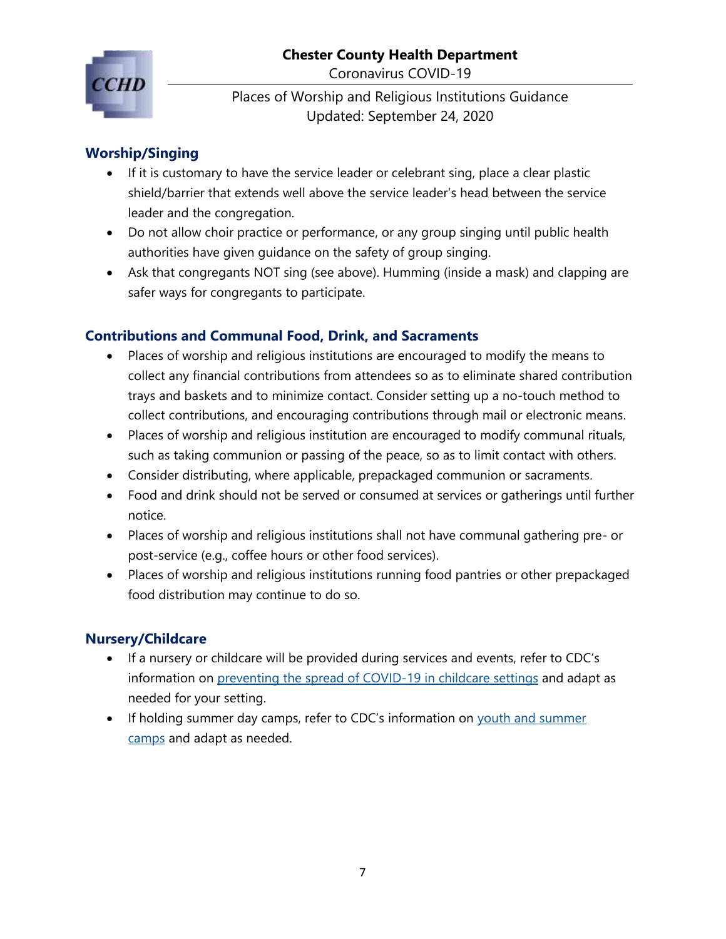Coronavirus COVID-19



Places of Worship and Religious Institutions Guidance Updated: September 24, 2020

## <span id="page-6-0"></span>**Worship/Singing**

- If it is customary to have the service leader or celebrant sing, place a clear plastic shield/barrier that extends well above the service leader's head between the service leader and the congregation.
- Do not allow choir practice or performance, or any group singing until public health authorities have given guidance on the safety of group singing.
- Ask that congregants NOT sing (see above). Humming (inside a mask) and clapping are safer ways for congregants to participate.

#### <span id="page-6-1"></span>**Contributions and Communal Food, Drink, and Sacraments**

- Places of worship and religious institutions are encouraged to modify the means to collect any financial contributions from attendees so as to eliminate shared contribution trays and baskets and to minimize contact. Consider setting up a no-touch method to collect contributions, and encouraging contributions through mail or electronic means.
- Places of worship and religious institution are encouraged to modify communal rituals, such as taking communion or passing of the peace, so as to limit contact with others.
- Consider distributing, where applicable, prepackaged communion or sacraments.
- Food and drink should not be served or consumed at services or gatherings until further notice.
- Places of worship and religious institutions shall not have communal gathering pre- or post-service (e.g., coffee hours or other food services).
- Places of worship and religious institutions running food pantries or other prepackaged food distribution may continue to do so.

#### <span id="page-6-2"></span>**Nursery/Childcare**

- If a nursery or childcare will be provided during services and events, refer to CDC's information on [preventing the spread of COVID-19 in childcare settings](https://www.cdc.gov/coronavirus/2019-ncov/community/schools-childcare/guidance-for-childcare.html) and adapt as needed for your setting.
- If holding summer day camps, refer to CDC's information on [youth and summer](https://www.cdc.gov/coronavirus/2019-ncov/community/schools-childcare/summer-camps.html)  [camps](https://www.cdc.gov/coronavirus/2019-ncov/community/schools-childcare/summer-camps.html) and adapt as needed.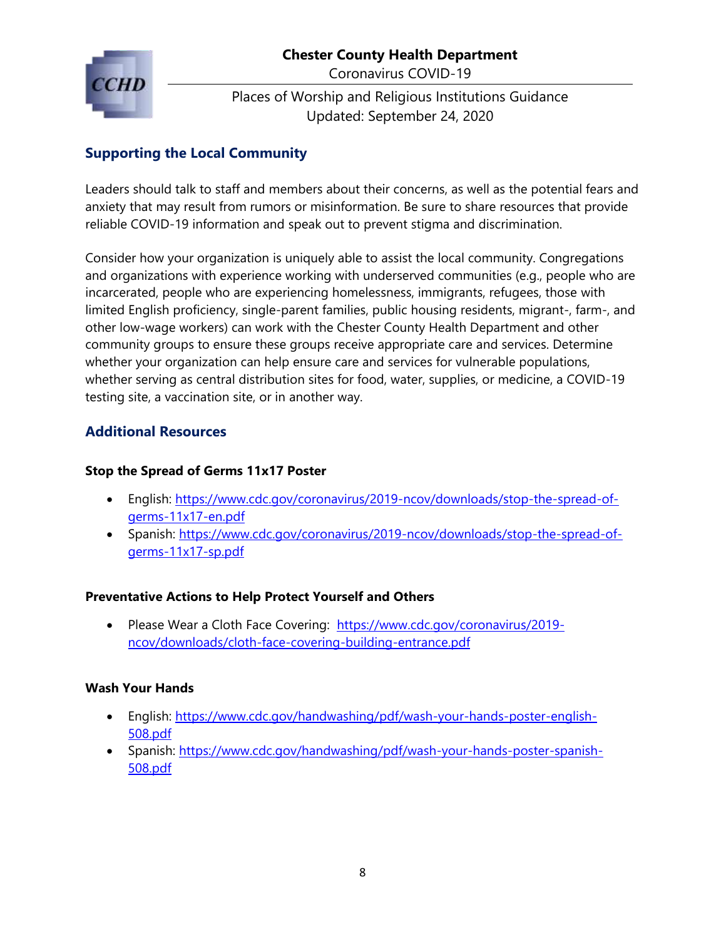

Coronavirus COVID-19

Places of Worship and Religious Institutions Guidance Updated: September 24, 2020

## <span id="page-7-0"></span>**Supporting the Local Community**

Leaders should talk to staff and members about their concerns, as well as the potential fears and anxiety that may result from rumors or misinformation. Be sure to share resources that provide reliable COVID-19 information and speak out to prevent stigma and discrimination.

Consider how your organization is uniquely able to assist the local community. Congregations and organizations with experience working with underserved communities (e.g., people who are incarcerated, people who are experiencing homelessness, immigrants, refugees, those with limited English proficiency, single-parent families, public housing residents, migrant-, farm-, and other low-wage workers) can work with the Chester County Health Department and other community groups to ensure these groups receive appropriate care and services. Determine whether your organization can help ensure care and services for vulnerable populations, whether serving as central distribution sites for food, water, supplies, or medicine, a COVID-19 testing site, a vaccination site, or in another way.

## <span id="page-7-1"></span>**Additional Resources**

#### **Stop the Spread of Germs 11x17 Poster**

- English: [https://www.cdc.gov/coronavirus/2019-ncov/downloads/stop-the-spread-of](https://www.cdc.gov/coronavirus/2019-ncov/downloads/stop-the-spread-of-germs-11x17-en.pdf)[germs-11x17-en.pdf](https://www.cdc.gov/coronavirus/2019-ncov/downloads/stop-the-spread-of-germs-11x17-en.pdf)
- Spanish: [https://www.cdc.gov/coronavirus/2019-ncov/downloads/stop-the-spread-of](https://www.cdc.gov/coronavirus/2019-ncov/downloads/stop-the-spread-of-germs-11x17-sp.pdf)[germs-11x17-sp.pdf](https://www.cdc.gov/coronavirus/2019-ncov/downloads/stop-the-spread-of-germs-11x17-sp.pdf)

#### **Preventative Actions to Help Protect Yourself and Others**

• Please Wear a Cloth Face Covering: [https://www.cdc.gov/coronavirus/2019](https://www.cdc.gov/coronavirus/2019-ncov/downloads/cloth-face-covering-building-entrance.pdf) [ncov/downloads/cloth-face-covering-building-entrance.pdf](https://www.cdc.gov/coronavirus/2019-ncov/downloads/cloth-face-covering-building-entrance.pdf)

#### **Wash Your Hands**

- English: [https://www.cdc.gov/handwashing/pdf/wash-your-hands-poster-english-](https://www.cdc.gov/handwashing/pdf/wash-your-hands-poster-english-508.pdf)[508.pdf](https://www.cdc.gov/handwashing/pdf/wash-your-hands-poster-english-508.pdf)
- Spanish: [https://www.cdc.gov/handwashing/pdf/wash-your-hands-poster-spanish-](https://www.cdc.gov/handwashing/pdf/wash-your-hands-poster-spanish-508.pdf)[508.pdf](https://www.cdc.gov/handwashing/pdf/wash-your-hands-poster-spanish-508.pdf)